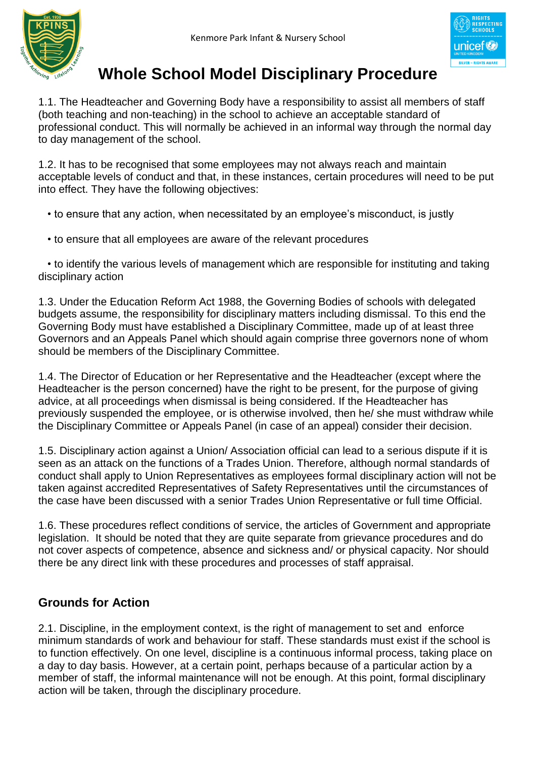



# **Whole School Model Disciplinary Procedure**

1.1. The Headteacher and Governing Body have a responsibility to assist all members of staff (both teaching and non-teaching) in the school to achieve an acceptable standard of professional conduct. This will normally be achieved in an informal way through the normal day to day management of the school.

1.2. It has to be recognised that some employees may not always reach and maintain acceptable levels of conduct and that, in these instances, certain procedures will need to be put into effect. They have the following objectives:

• to ensure that any action, when necessitated by an employee's misconduct, is justly

• to ensure that all employees are aware of the relevant procedures

 • to identify the various levels of management which are responsible for instituting and taking disciplinary action

1.3. Under the Education Reform Act 1988, the Governing Bodies of schools with delegated budgets assume, the responsibility for disciplinary matters including dismissal. To this end the Governing Body must have established a Disciplinary Committee, made up of at least three Governors and an Appeals Panel which should again comprise three governors none of whom should be members of the Disciplinary Committee.

1.4. The Director of Education or her Representative and the Headteacher (except where the Headteacher is the person concerned) have the right to be present, for the purpose of giving advice, at all proceedings when dismissal is being considered. If the Headteacher has previously suspended the employee, or is otherwise involved, then he/ she must withdraw while the Disciplinary Committee or Appeals Panel (in case of an appeal) consider their decision.

1.5. Disciplinary action against a Union/ Association official can lead to a serious dispute if it is seen as an attack on the functions of a Trades Union. Therefore, although normal standards of conduct shall apply to Union Representatives as employees formal disciplinary action will not be taken against accredited Representatives of Safety Representatives until the circumstances of the case have been discussed with a senior Trades Union Representative or full time Official.

1.6. These procedures reflect conditions of service, the articles of Government and appropriate legislation. It should be noted that they are quite separate from grievance procedures and do not cover aspects of competence, absence and sickness and/ or physical capacity. Nor should there be any direct link with these procedures and processes of staff appraisal.

# **Grounds for Action**

2.1. Discipline, in the employment context, is the right of management to set and enforce minimum standards of work and behaviour for staff. These standards must exist if the school is to function effectively. On one level, discipline is a continuous informal process, taking place on a day to day basis. However, at a certain point, perhaps because of a particular action by a member of staff, the informal maintenance will not be enough. At this point, formal disciplinary action will be taken, through the disciplinary procedure.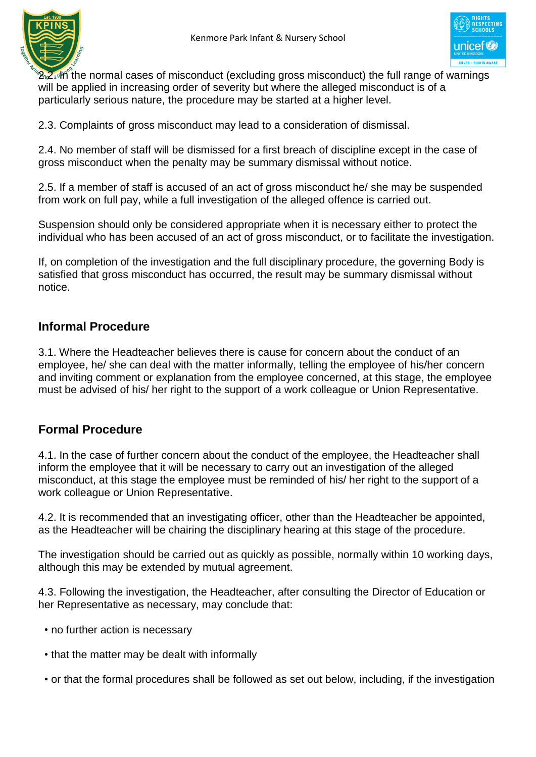



 $2.2$  $\mu$ h the normal cases of misconduct (excluding gross misconduct) the full range of warnings will be applied in increasing order of severity but where the alleged misconduct is of a particularly serious nature, the procedure may be started at a higher level.

2.3. Complaints of gross misconduct may lead to a consideration of dismissal.

2.4. No member of staff will be dismissed for a first breach of discipline except in the case of gross misconduct when the penalty may be summary dismissal without notice.

2.5. If a member of staff is accused of an act of gross misconduct he/ she may be suspended from work on full pay, while a full investigation of the alleged offence is carried out.

Suspension should only be considered appropriate when it is necessary either to protect the individual who has been accused of an act of gross misconduct, or to facilitate the investigation.

If, on completion of the investigation and the full disciplinary procedure, the governing Body is satisfied that gross misconduct has occurred, the result may be summary dismissal without notice.

### **Informal Procedure**

3.1. Where the Headteacher believes there is cause for concern about the conduct of an employee, he/ she can deal with the matter informally, telling the employee of his/her concern and inviting comment or explanation from the employee concerned, at this stage, the employee must be advised of his/ her right to the support of a work colleague or Union Representative.

# **Formal Procedure**

4.1. In the case of further concern about the conduct of the employee, the Headteacher shall inform the employee that it will be necessary to carry out an investigation of the alleged misconduct, at this stage the employee must be reminded of his/ her right to the support of a work colleague or Union Representative.

4.2. It is recommended that an investigating officer, other than the Headteacher be appointed, as the Headteacher will be chairing the disciplinary hearing at this stage of the procedure.

The investigation should be carried out as quickly as possible, normally within 10 working days, although this may be extended by mutual agreement.

4.3. Following the investigation, the Headteacher, after consulting the Director of Education or her Representative as necessary, may conclude that:

- no further action is necessary
- that the matter may be dealt with informally
- or that the formal procedures shall be followed as set out below, including, if the investigation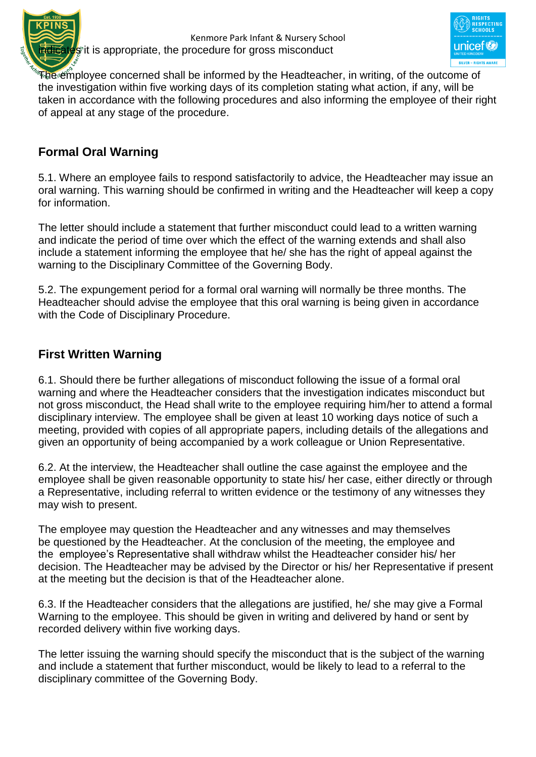



The employee concerned shall be informed by the Headteacher, in writing, of the outcome of the investigation within five working days of its completion stating what action, if any, will be taken in accordance with the following procedures and also informing the employee of their right of appeal at any stage of the procedure.

# **Formal Oral Warning**

5.1. Where an employee fails to respond satisfactorily to advice, the Headteacher may issue an oral warning. This warning should be confirmed in writing and the Headteacher will keep a copy for information.

The letter should include a statement that further misconduct could lead to a written warning and indicate the period of time over which the effect of the warning extends and shall also include a statement informing the employee that he/ she has the right of appeal against the warning to the Disciplinary Committee of the Governing Body.

5.2. The expungement period for a formal oral warning will normally be three months. The Headteacher should advise the employee that this oral warning is being given in accordance with the Code of Disciplinary Procedure.

### **First Written Warning**

6.1. Should there be further allegations of misconduct following the issue of a formal oral warning and where the Headteacher considers that the investigation indicates misconduct but not gross misconduct, the Head shall write to the employee requiring him/her to attend a formal disciplinary interview. The employee shall be given at least 10 working days notice of such a meeting, provided with copies of all appropriate papers, including details of the allegations and given an opportunity of being accompanied by a work colleague or Union Representative.

6.2. At the interview, the Headteacher shall outline the case against the employee and the employee shall be given reasonable opportunity to state his/ her case, either directly or through a Representative, including referral to written evidence or the testimony of any witnesses they may wish to present.

The employee may question the Headteacher and any witnesses and may themselves be questioned by the Headteacher. At the conclusion of the meeting, the employee and the employee's Representative shall withdraw whilst the Headteacher consider his/ her decision. The Headteacher may be advised by the Director or his/ her Representative if present at the meeting but the decision is that of the Headteacher alone.

6.3. If the Headteacher considers that the allegations are justified, he/ she may give a Formal Warning to the employee. This should be given in writing and delivered by hand or sent by recorded delivery within five working days.

The letter issuing the warning should specify the misconduct that is the subject of the warning and include a statement that further misconduct, would be likely to lead to a referral to the disciplinary committee of the Governing Body.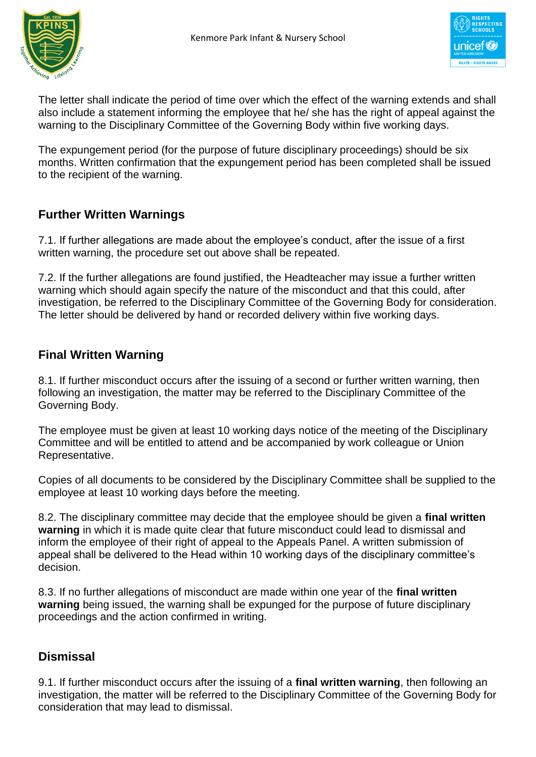



The letter shall indicate the period of time over which the effect of the warning extends and shall also include a statement informing the employee that he/ she has the right of appeal against the warning to the Disciplinary Committee of the Governing Body within five working days.

The expungement period (for the purpose of future disciplinary proceedings) should be six months. Written confirmation that the expungement period has been completed shall be issued to the recipient of the warning.

# **Further Written Warnings**

7.1. If further allegations are made about the employee's conduct, after the issue of a first written warning, the procedure set out above shall be repeated.

7.2. If the further allegations are found justified, the Headteacher may issue a further written warning which should again specify the nature of the misconduct and that this could, after investigation, be referred to the Disciplinary Committee of the Governing Body for consideration. The letter should be delivered by hand or recorded delivery within five working days.

# **Final Written Warning**

8.1. If further misconduct occurs after the issuing of a second or further written warning, then following an investigation, the matter may be referred to the Disciplinary Committee of the Governing Body.

The employee must be given at least 10 working days notice of the meeting of the Disciplinary Committee and will be entitled to attend and be accompanied by work colleague or Union Representative.

Copies of all documents to be considered by the Disciplinary Committee shall be supplied to the employee at least 10 working days before the meeting.

8.2. The disciplinary committee may decide that the employee should be given a **final written warning** in which it is made quite clear that future misconduct could lead to dismissal and inform the employee of their right of appeal to the Appeals Panel. A written submission of appeal shall be delivered to the Head within 10 working days of the disciplinary committee's decision.

8.3. If no further allegations of misconduct are made within one year of the **final written warning** being issued, the warning shall be expunged for the purpose of future disciplinary proceedings and the action confirmed in writing.

# **Dismissal**

9.1. If further misconduct occurs after the issuing of a **final written warning**, then following an investigation, the matter will be referred to the Disciplinary Committee of the Governing Body for consideration that may lead to dismissal.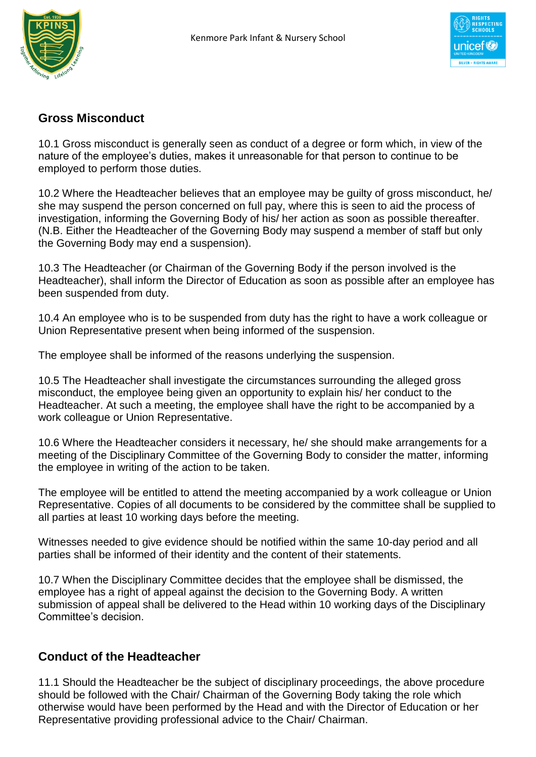



### **Gross Misconduct**

10.1 Gross misconduct is generally seen as conduct of a degree or form which, in view of the nature of the employee's duties, makes it unreasonable for that person to continue to be employed to perform those duties.

10.2 Where the Headteacher believes that an employee may be guilty of gross misconduct, he/ she may suspend the person concerned on full pay, where this is seen to aid the process of investigation, informing the Governing Body of his/ her action as soon as possible thereafter. (N.B. Either the Headteacher of the Governing Body may suspend a member of staff but only the Governing Body may end a suspension).

10.3 The Headteacher (or Chairman of the Governing Body if the person involved is the Headteacher), shall inform the Director of Education as soon as possible after an employee has been suspended from duty.

10.4 An employee who is to be suspended from duty has the right to have a work colleague or Union Representative present when being informed of the suspension.

The employee shall be informed of the reasons underlying the suspension.

10.5 The Headteacher shall investigate the circumstances surrounding the alleged gross misconduct, the employee being given an opportunity to explain his/ her conduct to the Headteacher. At such a meeting, the employee shall have the right to be accompanied by a work colleague or Union Representative.

10.6 Where the Headteacher considers it necessary, he/ she should make arrangements for a meeting of the Disciplinary Committee of the Governing Body to consider the matter, informing the employee in writing of the action to be taken.

The employee will be entitled to attend the meeting accompanied by a work colleague or Union Representative. Copies of all documents to be considered by the committee shall be supplied to all parties at least 10 working days before the meeting.

Witnesses needed to give evidence should be notified within the same 10-day period and all parties shall be informed of their identity and the content of their statements.

10.7 When the Disciplinary Committee decides that the employee shall be dismissed, the employee has a right of appeal against the decision to the Governing Body. A written submission of appeal shall be delivered to the Head within 10 working days of the Disciplinary Committee's decision.

### **Conduct of the Headteacher**

11.1 Should the Headteacher be the subject of disciplinary proceedings, the above procedure should be followed with the Chair/ Chairman of the Governing Body taking the role which otherwise would have been performed by the Head and with the Director of Education or her Representative providing professional advice to the Chair/ Chairman.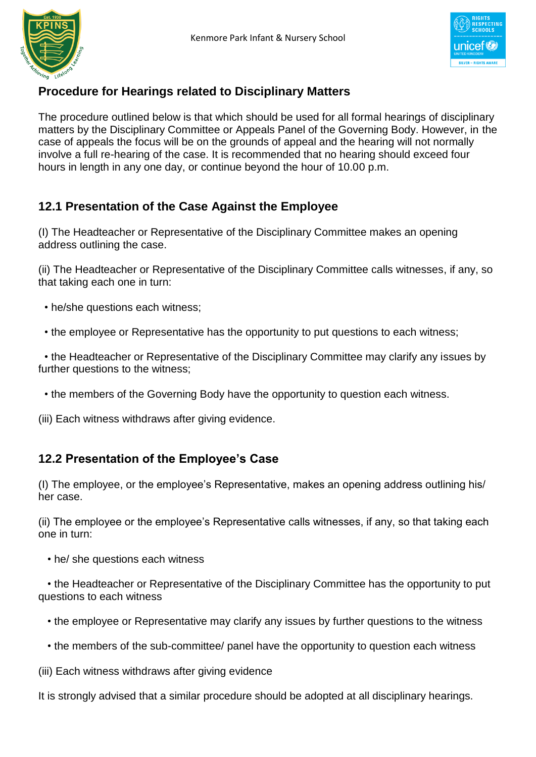



# **Procedure for Hearings related to Disciplinary Matters**

The procedure outlined below is that which should be used for all formal hearings of disciplinary matters by the Disciplinary Committee or Appeals Panel of the Governing Body. However, in the case of appeals the focus will be on the grounds of appeal and the hearing will not normally involve a full re-hearing of the case. It is recommended that no hearing should exceed four hours in length in any one day, or continue beyond the hour of 10.00 p.m.

# **12.1 Presentation of the Case Against the Employee**

(I) The Headteacher or Representative of the Disciplinary Committee makes an opening address outlining the case.

(ii) The Headteacher or Representative of the Disciplinary Committee calls witnesses, if any, so that taking each one in turn:

- he/she questions each witness;
- the employee or Representative has the opportunity to put questions to each witness;

• the Headteacher or Representative of the Disciplinary Committee may clarify any issues by further questions to the witness;

- the members of the Governing Body have the opportunity to question each witness.
- (iii) Each witness withdraws after giving evidence.

# **12.2 Presentation of the Employee's Case**

(I) The employee, or the employee's Representative, makes an opening address outlining his/ her case.

(ii) The employee or the employee's Representative calls witnesses, if any, so that taking each one in turn:

• he/ she questions each witness

 • the Headteacher or Representative of the Disciplinary Committee has the opportunity to put questions to each witness

- the employee or Representative may clarify any issues by further questions to the witness
- the members of the sub-committee/ panel have the opportunity to question each witness
- (iii) Each witness withdraws after giving evidence

It is strongly advised that a similar procedure should be adopted at all disciplinary hearings.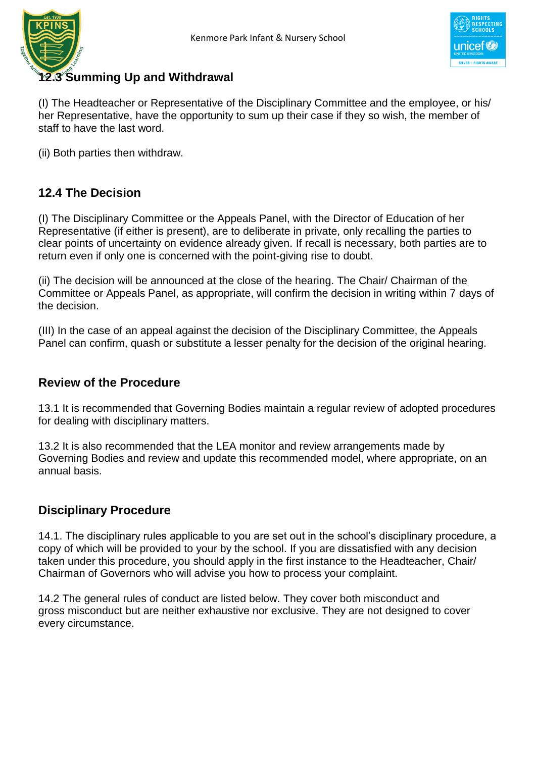



# **12.3 Summing Up and Withdrawal**

(I) The Headteacher or Representative of the Disciplinary Committee and the employee, or his/ her Representative, have the opportunity to sum up their case if they so wish, the member of staff to have the last word.

(ii) Both parties then withdraw.

# **12.4 The Decision**

(I) The Disciplinary Committee or the Appeals Panel, with the Director of Education of her Representative (if either is present), are to deliberate in private, only recalling the parties to clear points of uncertainty on evidence already given. If recall is necessary, both parties are to return even if only one is concerned with the point-giving rise to doubt.

(ii) The decision will be announced at the close of the hearing. The Chair/ Chairman of the Committee or Appeals Panel, as appropriate, will confirm the decision in writing within 7 days of the decision.

(III) In the case of an appeal against the decision of the Disciplinary Committee, the Appeals Panel can confirm, quash or substitute a lesser penalty for the decision of the original hearing.

### **Review of the Procedure**

13.1 It is recommended that Governing Bodies maintain a regular review of adopted procedures for dealing with disciplinary matters.

13.2 It is also recommended that the LEA monitor and review arrangements made by Governing Bodies and review and update this recommended model, where appropriate, on an annual basis.

### **Disciplinary Procedure**

14.1. The disciplinary rules applicable to you are set out in the school's disciplinary procedure, a copy of which will be provided to your by the school. If you are dissatisfied with any decision taken under this procedure, you should apply in the first instance to the Headteacher, Chair/ Chairman of Governors who will advise you how to process your complaint.

14.2 The general rules of conduct are listed below. They cover both misconduct and gross misconduct but are neither exhaustive nor exclusive. They are not designed to cover every circumstance.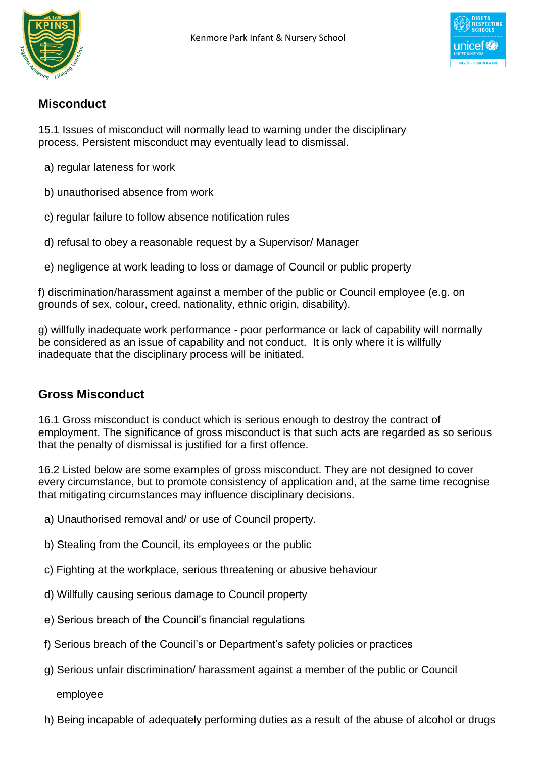



# **Misconduct**

15.1 Issues of misconduct will normally lead to warning under the disciplinary process. Persistent misconduct may eventually lead to dismissal.

- a) regular lateness for work
- b) unauthorised absence from work
- c) regular failure to follow absence notification rules
- d) refusal to obey a reasonable request by a Supervisor/ Manager
- e) negligence at work leading to loss or damage of Council or public property

f) discrimination/harassment against a member of the public or Council employee (e.g. on grounds of sex, colour, creed, nationality, ethnic origin, disability).

g) willfully inadequate work performance - poor performance or lack of capability will normally be considered as an issue of capability and not conduct. It is only where it is willfully inadequate that the disciplinary process will be initiated.

# **Gross Misconduct**

16.1 Gross misconduct is conduct which is serious enough to destroy the contract of employment. The significance of gross misconduct is that such acts are regarded as so serious that the penalty of dismissal is justified for a first offence.

16.2 Listed below are some examples of gross misconduct. They are not designed to cover every circumstance, but to promote consistency of application and, at the same time recognise that mitigating circumstances may influence disciplinary decisions.

- a) Unauthorised removal and/ or use of Council property.
- b) Stealing from the Council, its employees or the public
- c) Fighting at the workplace, serious threatening or abusive behaviour
- d) Willfully causing serious damage to Council property
- e) Serious breach of the Council's financial regulations
- f) Serious breach of the Council's or Department's safety policies or practices
- g) Serious unfair discrimination/ harassment against a member of the public or Council

employee

h) Being incapable of adequately performing duties as a result of the abuse of alcohol or drugs